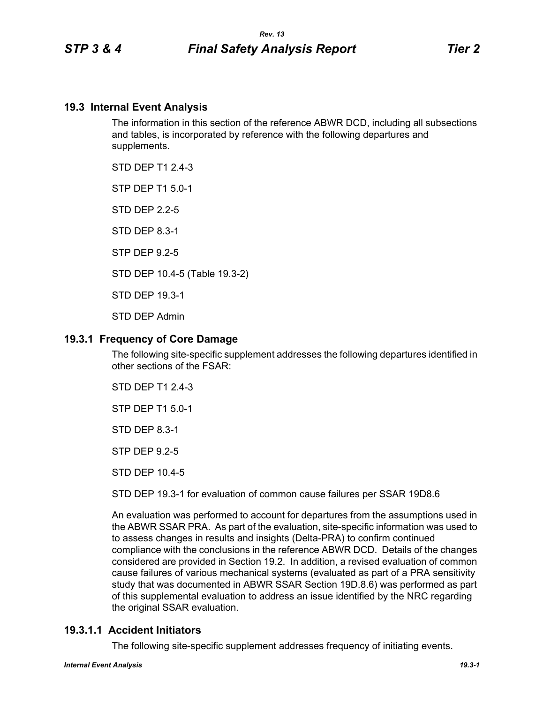### **19.3 Internal Event Analysis**

The information in this section of the reference ABWR DCD, including all subsections and tables, is incorporated by reference with the following departures and supplements.

STD DFP T1 2 4-3

STP DEP T1 5.0-1

STD DEP 2.2-5

STD DEP 8.3-1

STP DEP 9.2-5

STD DEP 10.4-5 (Table 19.3-2)

STD DEP 19.3-1

STD DEP Admin

### **19.3.1 Frequency of Core Damage**

The following site-specific supplement addresses the following departures identified in other sections of the FSAR:

STD DEP T1 2.4-3

STP DEP T1 5.0-1

STD DEP 8.3-1

STP DEP 9.2-5

STD DEP 10.4-5

STD DEP 19.3-1 for evaluation of common cause failures per SSAR 19D8.6

An evaluation was performed to account for departures from the assumptions used in the ABWR SSAR PRA. As part of the evaluation, site-specific information was used to to assess changes in results and insights (Delta-PRA) to confirm continued compliance with the conclusions in the reference ABWR DCD. Details of the changes considered are provided in Section 19.2. In addition, a revised evaluation of common cause failures of various mechanical systems (evaluated as part of a PRA sensitivity study that was documented in ABWR SSAR Section 19D.8.6) was performed as part of this supplemental evaluation to address an issue identified by the NRC regarding the original SSAR evaluation.

### **19.3.1.1 Accident Initiators**

The following site-specific supplement addresses frequency of initiating events.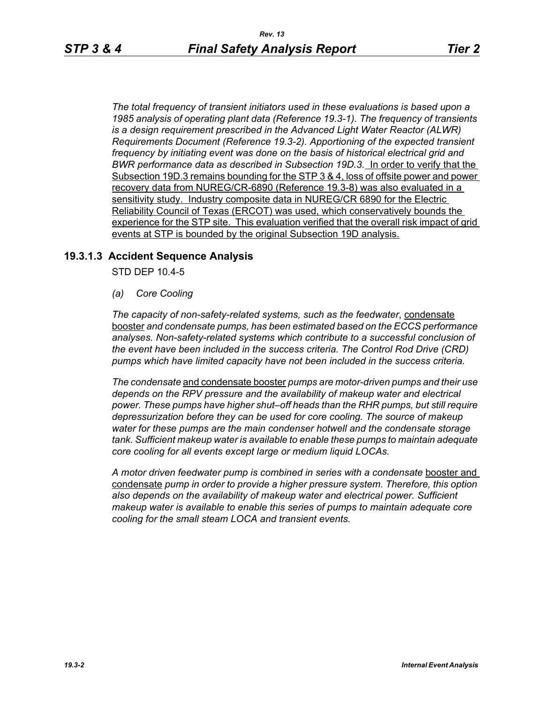*The total frequency of transient initiators used in these evaluations is based upon a 1985 analysis of operating plant data (Reference 19.3-1). The frequency of transients is a design requirement prescribed in the Advanced Light Water Reactor (ALWR) Requirements Document (Reference 19.3-2). Apportioning of the expected transient frequency by initiating event was done on the basis of historical electrical grid and BWR performance data as described in Subsection 19D.3.* In order to verify that the Subsection 19D.3 remains bounding for the STP 3 & 4, loss of offsite power and power recovery data from NUREG/CR-6890 (Reference 19.3-8) was also evaluated in a sensitivity study. Industry composite data in NUREG/CR 6890 for the Electric Reliability Council of Texas (ERCOT) was used, which conservatively bounds the experience for the STP site. This evaluation verified that the overall risk impact of grid events at STP is bounded by the original Subsection 19D analysis.

### **19.3.1.3 Accident Sequence Analysis**

STD DEP 10.4-5

*(a) Core Cooling*

*The capacity of non-safety-related systems, such as the feedwater*, condensate booster *and condensate pumps, has been estimated based on the ECCS performance analyses. Non-safety-related systems which contribute to a successful conclusion of the event have been included in the success criteria. The Control Rod Drive (CRD) pumps which have limited capacity have not been included in the success criteria.*

*The condensate* and condensate booster *pumps are motor-driven pumps and their use depends on the RPV pressure and the availability of makeup water and electrical power. These pumps have higher shut–off heads than the RHR pumps, but still require depressurization before they can be used for core cooling. The source of makeup water for these pumps are the main condenser hotwell and the condensate storage tank. Sufficient makeup water is available to enable these pumps to maintain adequate core cooling for all events except large or medium liquid LOCAs.*

*A motor driven feedwater pump is combined in series with a condensate* booster and condensate *pump in order to provide a higher pressure system. Therefore, this option also depends on the availability of makeup water and electrical power. Sufficient makeup water is available to enable this series of pumps to maintain adequate core cooling for the small steam LOCA and transient events.*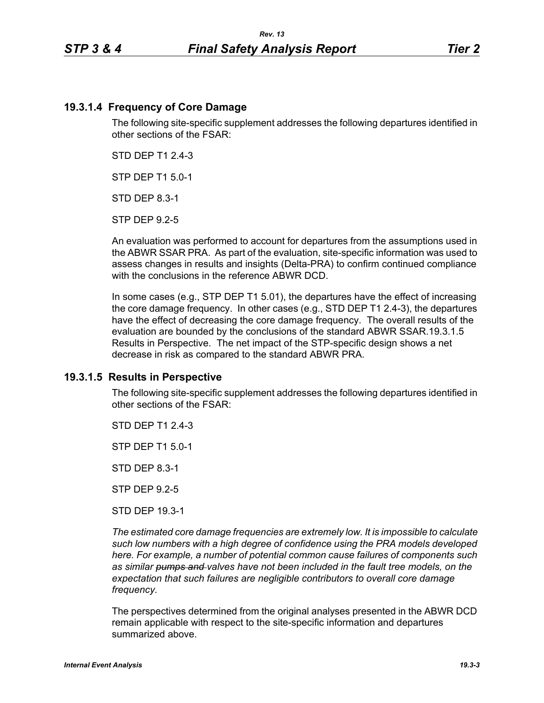### **19.3.1.4 Frequency of Core Damage**

The following site-specific supplement addresses the following departures identified in other sections of the FSAR:

STD DEP T1 2.4-3

STP DEP T1 5.0-1

STD DEP 8.3-1

STP DEP 9.2-5

An evaluation was performed to account for departures from the assumptions used in the ABWR SSAR PRA. As part of the evaluation, site-specific information was used to assess changes in results and insights (Delta-PRA) to confirm continued compliance with the conclusions in the reference ABWR DCD.

In some cases (e.g., STP DEP T1 5.01), the departures have the effect of increasing the core damage frequency. In other cases (e.g., STD DEP T1 2.4-3), the departures have the effect of decreasing the core damage frequency. The overall results of the evaluation are bounded by the conclusions of the standard ABWR SSAR.19.3.1.5 Results in Perspective. The net impact of the STP-specific design shows a net decrease in risk as compared to the standard ABWR PRA.

### **19.3.1.5 Results in Perspective**

The following site-specific supplement addresses the following departures identified in other sections of the FSAR:

STD DFP T1 2 4-3

STP DEP T1 5.0-1

STD DEP 8.3-1

STP DEP 9.2-5

STD DEP 19.3-1

*The estimated core damage frequencies are extremely low. It is impossible to calculate such low numbers with a high degree of confidence using the PRA models developed here. For example, a number of potential common cause failures of components such as similar pumps and valves have not been included in the fault tree models, on the expectation that such failures are negligible contributors to overall core damage frequency.*

The perspectives determined from the original analyses presented in the ABWR DCD remain applicable with respect to the site-specific information and departures summarized above.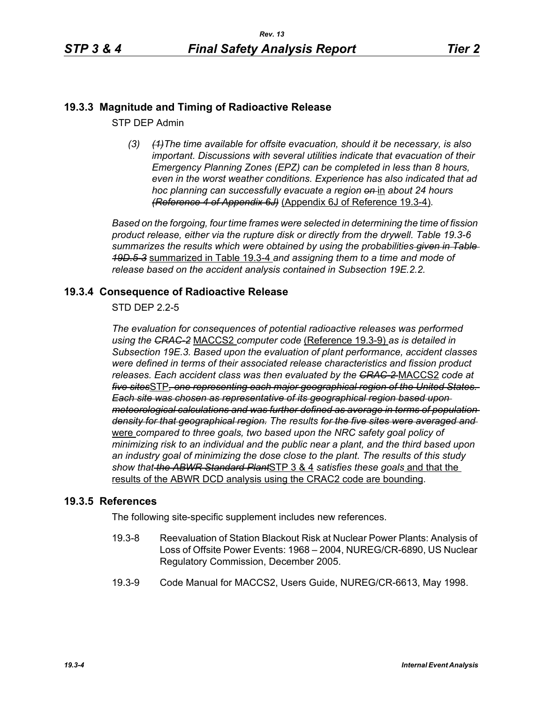# **19.3.3 Magnitude and Timing of Radioactive Release**

STP DEP Admin

*(3) (1)The time available for offsite evacuation, should it be necessary, is also important. Discussions with several utilities indicate that evacuation of their Emergency Planning Zones (EPZ) can be completed in less than 8 hours, even in the worst weather conditions. Experience has also indicated that ad hoc planning can successfully evacuate a region on* in *about 24 hours (Reference 4 of Appendix 6J)* (Appendix 6J of Reference 19.3-4)*.*

*Based on the forgoing, four time frames were selected in determining the time of fission product release, either via the rupture disk or directly from the drywell. Table 19.3-6 summarizes the results which were obtained by using the probabilities given in Table 19D.5-3* summarized in Table 19.3-4 *and assigning them to a time and mode of release based on the accident analysis contained in Subsection 19E.2.2.*

## **19.3.4 Consequence of Radioactive Release**

STD DEP 2.2-5

*The evaluation for consequences of potential radioactive releases was performed using the CRAC-2* MACCS2 *computer code* (Reference 19.3-9) *as is detailed in Subsection 19E.3. Based upon the evaluation of plant performance, accident classes were defined in terms of their associated release characteristics and fission product releases. Each accident class was then evaluated by the CRAC-2* MACCS2 *code at five sites*STP*, one representing each major geographical region of the United States. Each site was chosen as representative of its geographical region based upon meteorological calculations and was further defined as average in terms of population density for that geographical region. The results for the five sites were averaged and*  were *compared to three goals, two based upon the NRC safety goal policy of minimizing risk to an individual and the public near a plant, and the third based upon an industry goal of minimizing the dose close to the plant. The results of this study show that the ABWR Standard Plant*STP 3 & 4 *satisfies these goals* and that the results of the ABWR DCD analysis using the CRAC2 code are bounding.

### **19.3.5 References**

The following site-specific supplement includes new references.

- 19.3-8 Reevaluation of Station Blackout Risk at Nuclear Power Plants: Analysis of Loss of Offsite Power Events: 1968 – 2004, NUREG/CR-6890, US Nuclear Regulatory Commission, December 2005.
- 19.3-9 Code Manual for MACCS2, Users Guide, NUREG/CR-6613, May 1998.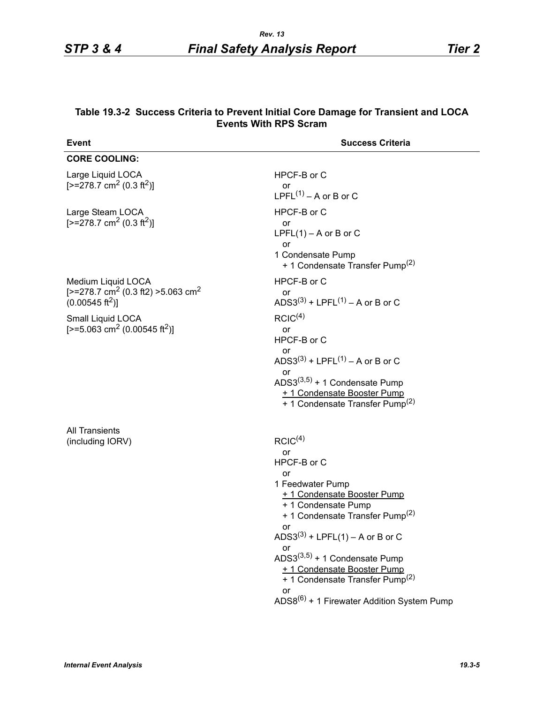| <b>Event</b>                                                                                                          | <b>Success Criteria</b>                                                                                                                                                                                                                                                                                                                                                                                 |
|-----------------------------------------------------------------------------------------------------------------------|---------------------------------------------------------------------------------------------------------------------------------------------------------------------------------------------------------------------------------------------------------------------------------------------------------------------------------------------------------------------------------------------------------|
| <b>CORE COOLING:</b>                                                                                                  |                                                                                                                                                                                                                                                                                                                                                                                                         |
| Large Liquid LOCA<br>$[-278.7 \text{ cm}^2 (0.3 \text{ ft}^2)]$                                                       | HPCF-B or C<br>or<br>LPFL $(1)$ – A or B or C                                                                                                                                                                                                                                                                                                                                                           |
| Large Steam LOCA<br>$[-278.7 \text{ cm}^2 (0.3 \text{ ft}^2)]$                                                        | HPCF-B or C<br>or<br>$LPFL(1) - A$ or B or C<br>or<br>1 Condensate Pump<br>+ 1 Condensate Transfer Pump <sup>(2)</sup>                                                                                                                                                                                                                                                                                  |
| Medium Liquid LOCA<br>[ $>=$ 278.7 cm <sup>2</sup> (0.3 ft2) $>=$ 5.063 cm <sup>2</sup><br>$(0.00545 \text{ ft}^2)$ ] | HPCF-B or C<br>or<br>ADS3(3) + LPFL(1) – A or B or C                                                                                                                                                                                                                                                                                                                                                    |
| Small Liquid LOCA<br>[>=5.063 cm <sup>2</sup> (0.00545 ft <sup>2</sup> )]                                             | RCIC <sup>(4)</sup><br>or<br>HPCF-B or C<br>or<br>ADS3 <sup>(3)</sup> + LPFL <sup>(1)</sup> – A or B or C<br>or<br>ADS3 $(3,5)$ + 1 Condensate Pump<br>+ 1 Condensate Booster Pump<br>+ 1 Condensate Transfer Pump <sup>(2)</sup>                                                                                                                                                                       |
| <b>All Transients</b><br>(including IORV)                                                                             | RCIC <sup>(4)</sup><br>or<br>HPCF-B or C<br>or<br>1 Feedwater Pump<br>+ 1 Condensate Booster Pump<br>+ 1 Condensate Pump<br>+ 1 Condensate Transfer Pump <sup>(2)</sup><br>ADS3 <sup>(3)</sup> + LPFL(1) – A or B or C<br>or<br>ADS3 $(3,5)$ + 1 Condensate Pump<br>+ 1 Condensate Booster Pump<br>+ 1 Condensate Transfer Pump <sup>(2)</sup><br>or<br>$ADS8^{(6)} + 1$ Firewater Addition System Pump |

#### **Table 19.3-2 Success Criteria to Prevent Initial Core Damage for Transient and LOCA Events With RPS Scram**